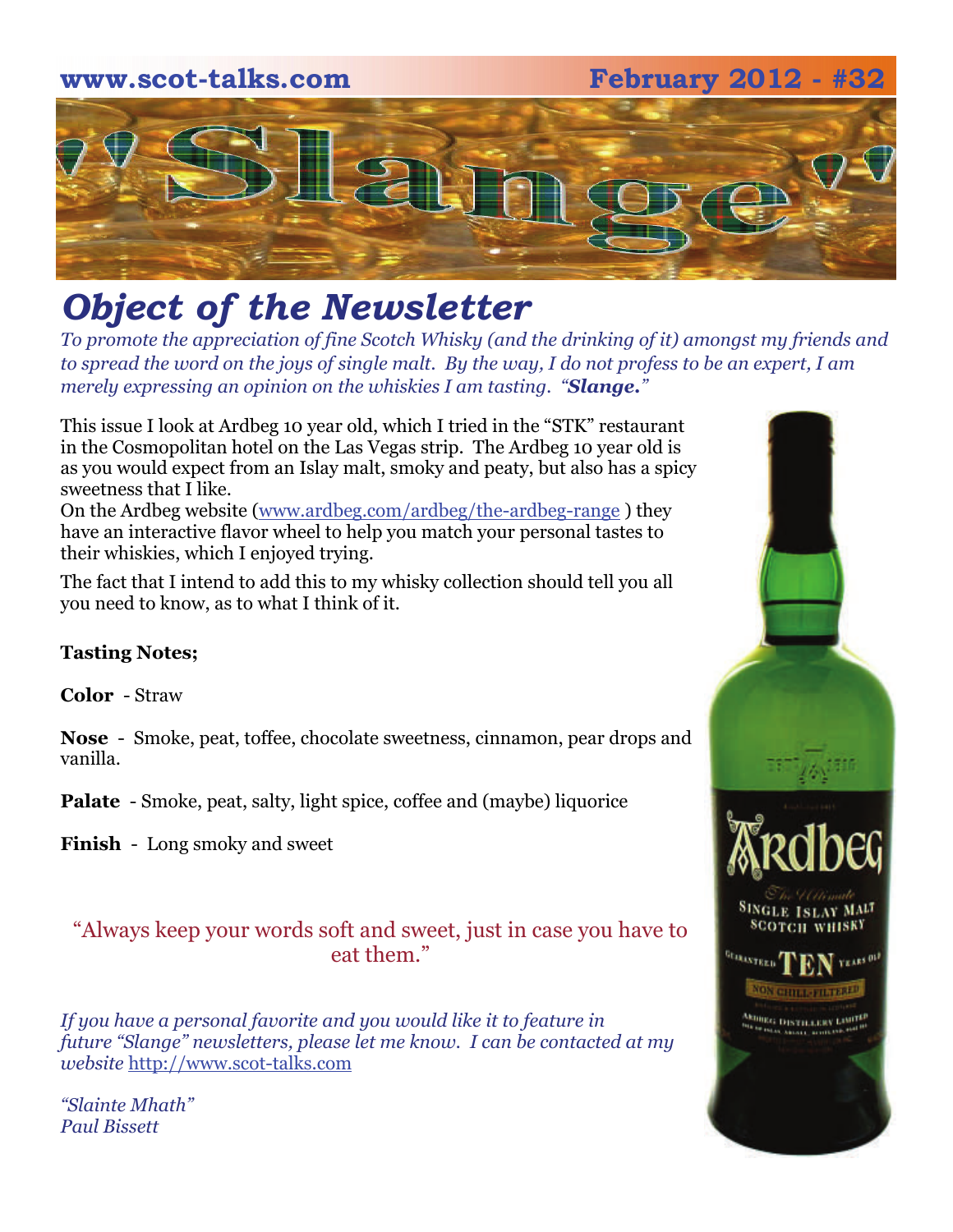**www.scot-talks.com February 2012 - #32** 



## *Object of the Newsletter*

*To promote the appreciation of fine Scotch Whisky (and the drinking of it) amongst my friends and to spread the word on the joys of single malt. By the way, I do not profess to be an expert, I am merely expressing an opinion on the whiskies I am tasting. "Slange."* 

This issue I look at Ardbeg 10 year old, which I tried in the "STK" restaurant in the Cosmopolitan hotel on the Las Vegas strip. The Ardbeg 10 year old is as you would expect from an Islay malt, smoky and peaty, but also has a spicy sweetness that I like.

On the Ardbeg website (www.ardbeg.com/ardbeg/the-ardbeg-range ) they have an interactive flavor wheel to help you match your personal tastes to their whiskies, which I enjoyed trying.

The fact that I intend to add this to my whisky collection should tell you all you need to know, as to what I think of it.

#### **Tasting Notes;**

**Color** - Straw

**Nose** - Smoke, peat, toffee, chocolate sweetness, cinnamon, pear drops and vanilla.

**Palate** - Smoke, peat, salty, light spice, coffee and (maybe) liquorice

**Finish** - Long smoky and sweet

"Always keep your words soft and sweet, just in case you have to eat them."

*If you have a personal favorite and you would like it to feature in future "Slange" newsletters, please let me know. I can be contacted at my website* http://www.scot-talks.com

*"Slainte Mhath" Paul Bissett*

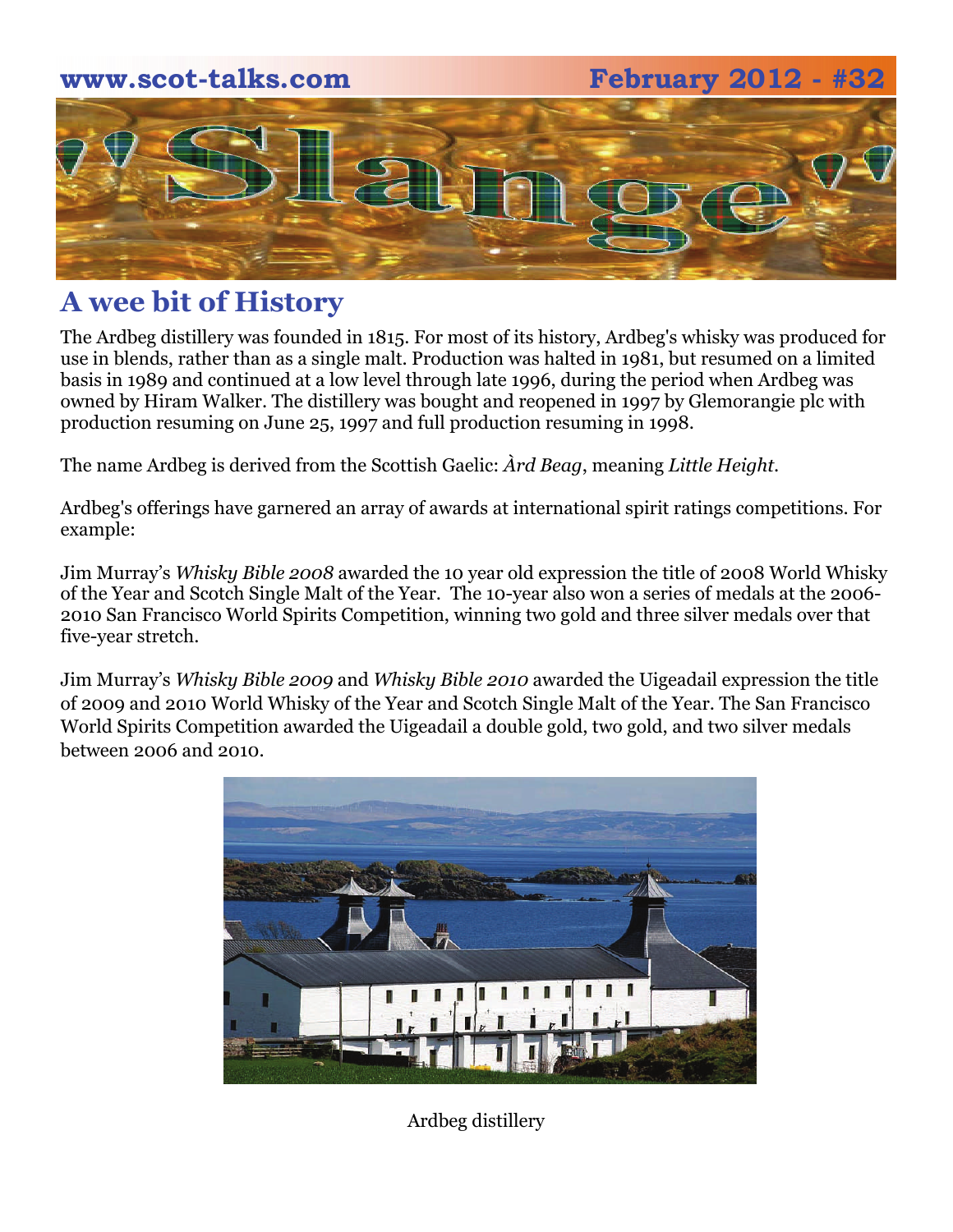# **www.scot-talks.com February 2012 - #32**  $\geq$

### **A wee bit of History**

The Ardbeg distillery was founded in 1815. For most of its history, Ardbeg's whisky was produced for use in blends, rather than as a single malt. Production was halted in 1981, but resumed on a limited basis in 1989 and continued at a low level through late 1996, during the period when Ardbeg was owned by Hiram Walker. The distillery was bought and reopened in 1997 by Glemorangie plc with production resuming on June 25, 1997 and full production resuming in 1998.

The name Ardbeg is derived from the Scottish Gaelic: *Àrd Beag*, meaning *Little Height*.

Ardbeg's offerings have garnered an array of awards at international spirit ratings competitions. For example:

Jim Murray's *Whisky Bible 2008* awarded the 10 year old expression the title of 2008 World Whisky of the Year and Scotch Single Malt of the Year. The 10-year also won a series of medals at the 2006- 2010 San Francisco World Spirits Competition, winning two gold and three silver medals over that five-year stretch.

Jim Murray's *Whisky Bible 2009* and *Whisky Bible 2010* awarded the Uigeadail expression the title of 2009 and 2010 World Whisky of the Year and Scotch Single Malt of the Year. The San Francisco World Spirits Competition awarded the Uigeadail a double gold, two gold, and two silver medals between 2006 and 2010.



Ardbeg distillery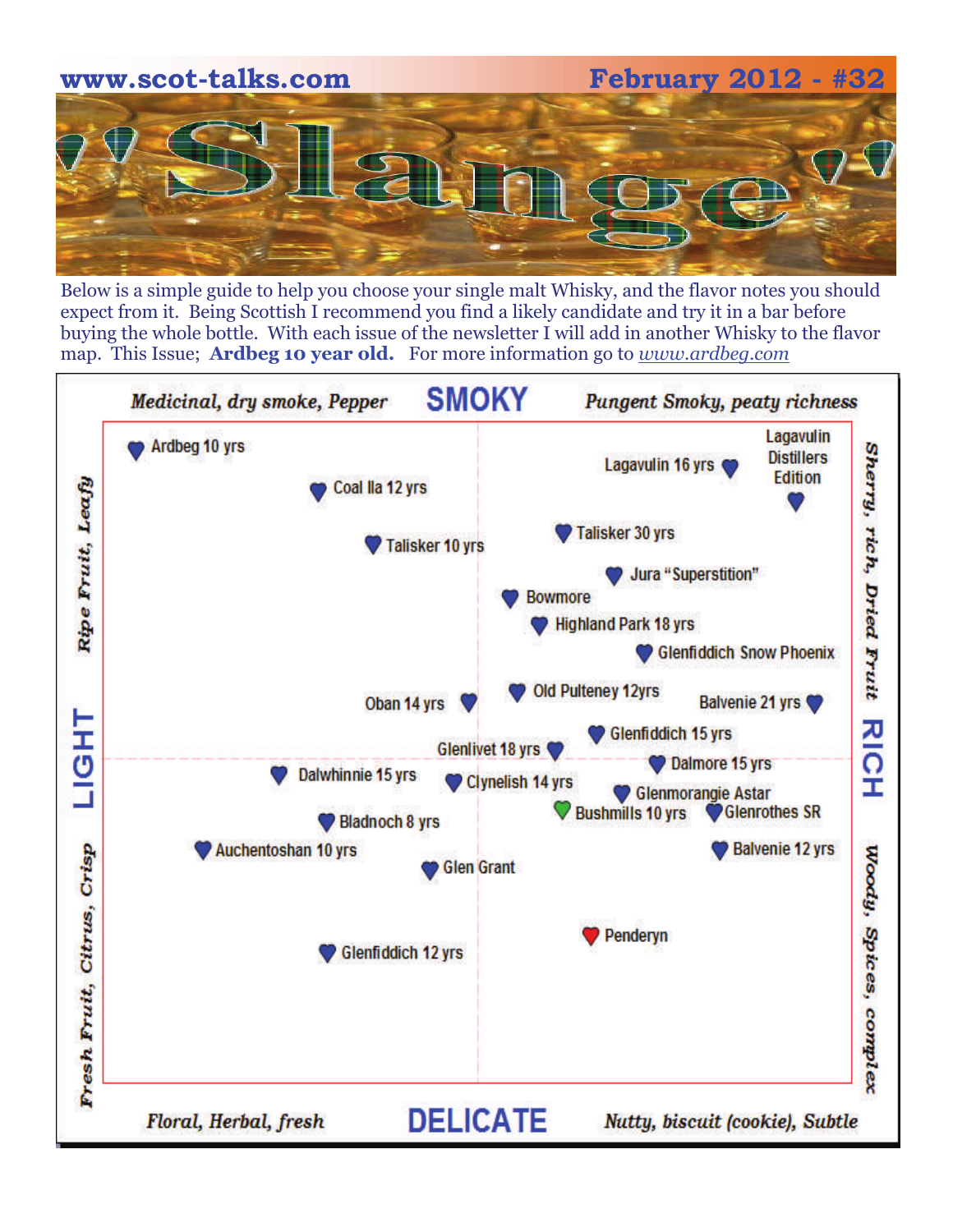

Below is a simple guide to help you choose your single malt Whisky, and the flavor notes you should expect from it. Being Scottish I recommend you find a likely candidate and try it in a bar before buying the whole bottle. With each issue of the newsletter I will add in another Whisky to the flavor map. This Issue; **Ardbeg 10 year old.** For more information go to *www.ardbeg.com* 

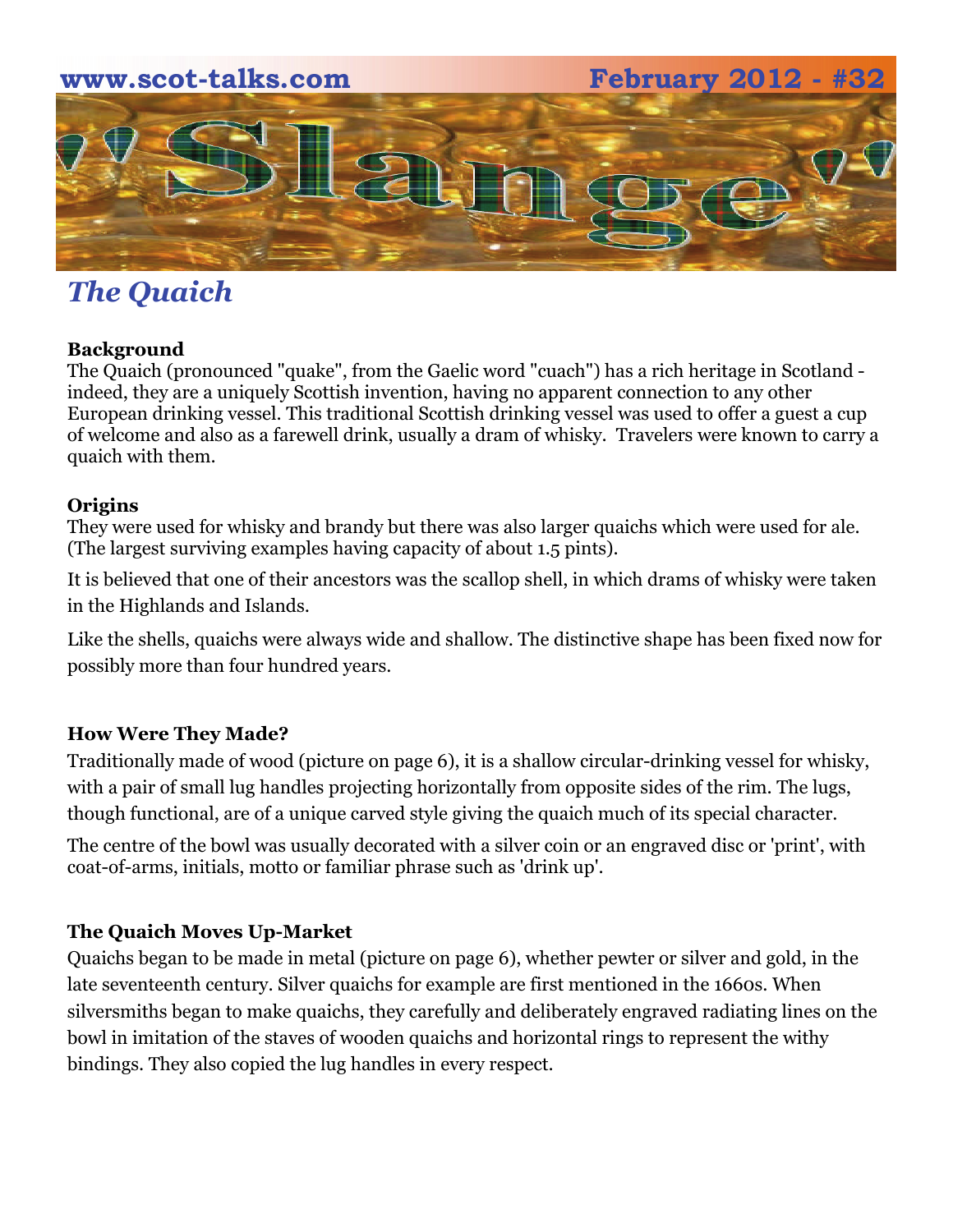## **www.scot-talks.com February 2012 - #32**   $\sim$

## *The Quaich*

#### **Background**

The Quaich (pronounced "quake", from the Gaelic word "cuach") has a rich heritage in Scotland indeed, they are a uniquely Scottish invention, having no apparent connection to any other European drinking vessel. This traditional Scottish drinking vessel was used to offer a guest a cup of welcome and also as a farewell drink, usually a dram of whisky. Travelers were known to carry a quaich with them.

#### **Origins**

They were used for whisky and brandy but there was also larger quaichs which were used for ale. (The largest surviving examples having capacity of about 1.5 pints).

It is believed that one of their ancestors was the scallop shell, in which drams of whisky were taken in the Highlands and Islands.

Like the shells, quaichs were always wide and shallow. The distinctive shape has been fixed now for possibly more than four hundred years.

#### **How Were They Made?**

Traditionally made of wood (picture on page 6), it is a shallow circular-drinking vessel for whisky, with a pair of small lug handles projecting horizontally from opposite sides of the rim. The lugs, though functional, are of a unique carved style giving the quaich much of its special character.

The centre of the bowl was usually decorated with a silver coin or an engraved disc or 'print', with coat-of-arms, initials, motto or familiar phrase such as 'drink up'.

#### **The Quaich Moves Up-Market**

Quaichs began to be made in metal (picture on page 6), whether pewter or silver and gold, in the late seventeenth century. Silver quaichs for example are first mentioned in the 1660s. When silversmiths began to make quaichs, they carefully and deliberately engraved radiating lines on the bowl in imitation of the staves of wooden quaichs and horizontal rings to represent the withy bindings. They also copied the lug handles in every respect.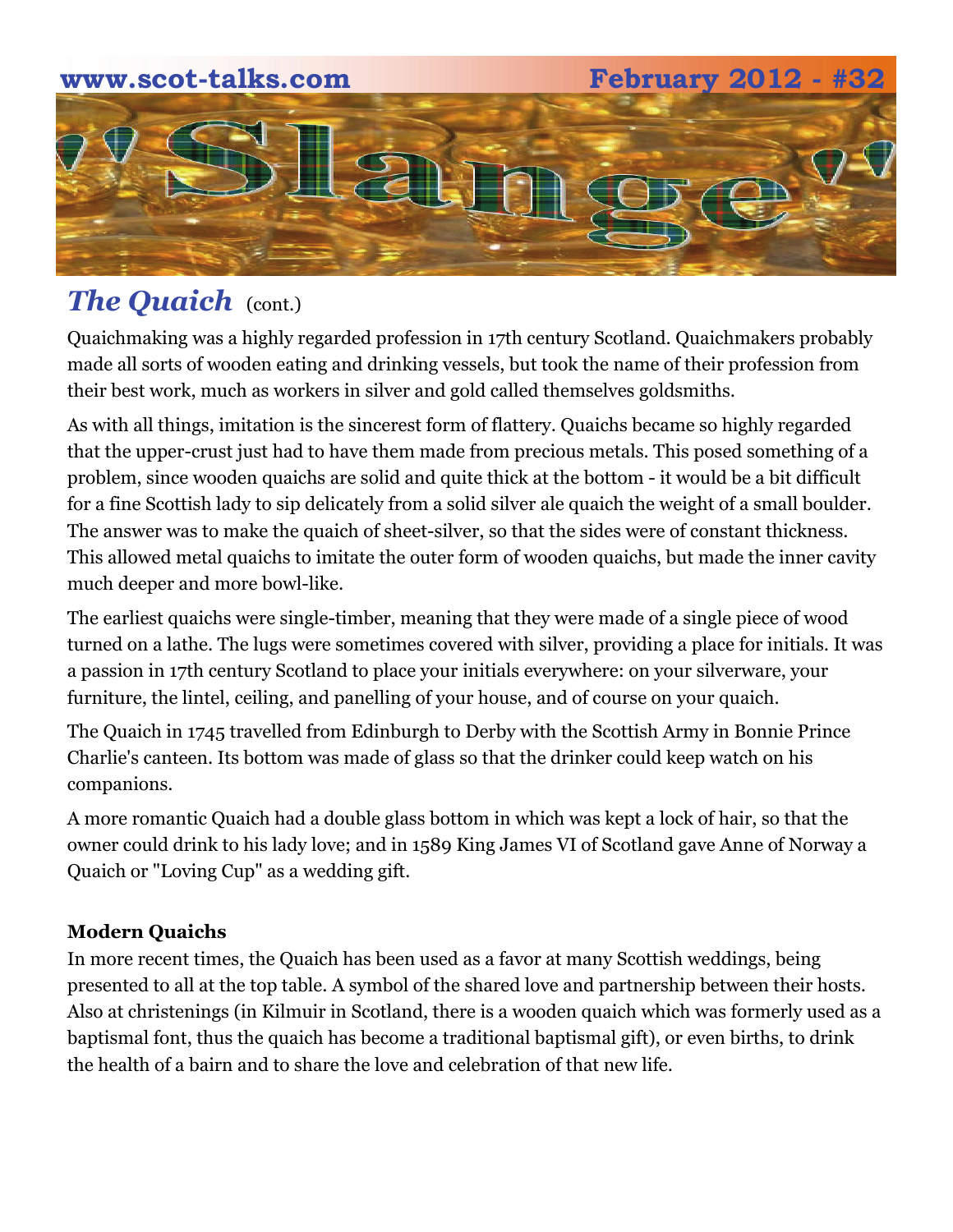# **www.scot-talks.com February 2012 - #32**  $\geq$

## **The Quaich** (cont.)

Quaichmaking was a highly regarded profession in 17th century Scotland. Quaichmakers probably made all sorts of wooden eating and drinking vessels, but took the name of their profession from their best work, much as workers in silver and gold called themselves goldsmiths.

As with all things, imitation is the sincerest form of flattery. Quaichs became so highly regarded that the upper-crust just had to have them made from precious metals. This posed something of a problem, since wooden quaichs are solid and quite thick at the bottom - it would be a bit difficult for a fine Scottish lady to sip delicately from a solid silver ale quaich the weight of a small boulder. The answer was to make the quaich of sheet-silver, so that the sides were of constant thickness. This allowed metal quaichs to imitate the outer form of wooden quaichs, but made the inner cavity much deeper and more bowl-like.

The earliest quaichs were single-timber, meaning that they were made of a single piece of wood turned on a lathe. The lugs were sometimes covered with silver, providing a place for initials. It was a passion in 17th century Scotland to place your initials everywhere: on your silverware, your furniture, the lintel, ceiling, and panelling of your house, and of course on your quaich.

The Quaich in 1745 travelled from Edinburgh to Derby with the Scottish Army in Bonnie Prince Charlie's canteen. Its bottom was made of glass so that the drinker could keep watch on his companions.

A more romantic Quaich had a double glass bottom in which was kept a lock of hair, so that the owner could drink to his lady love; and in 1589 King James VI of Scotland gave Anne of Norway a Quaich or "Loving Cup" as a wedding gift.

### **Modern Quaichs**

In more recent times, the Quaich has been used as a favor at many Scottish weddings, being presented to all at the top table. A symbol of the shared love and partnership between their hosts. Also at christenings (in Kilmuir in Scotland, there is a wooden quaich which was formerly used as a baptismal font, thus the quaich has become a traditional baptismal gift), or even births, to drink the health of a bairn and to share the love and celebration of that new life.